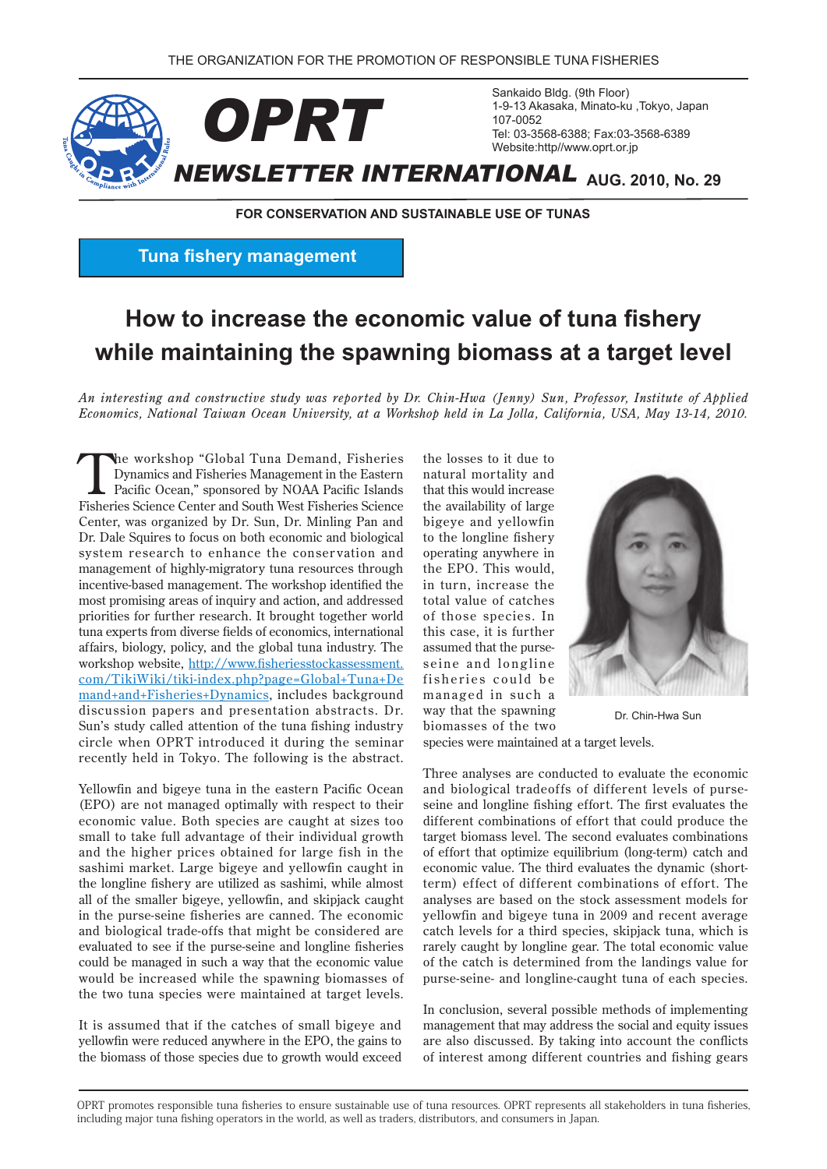

**FOR CONSERVATION AND SUSTAINABLE USE OF TUNAS** 

**Tuna fishery management** 

## **How to increase the economic value of tuna fishery** while maintaining the spawning biomass at a target level

An interesting and constructive study was reported by Dr. Chin-Hwa (Jenny) Sun, Professor, Institute of Applied *Economics, National Taiwan Ocean University, at a Workshop held in La Jolla, California, USA, May 13-14, 2010.* 

The workshop "Global Tuna Demand, Fisheries<br>
Dynamics and Fisheries Management in the Eastern<br>
Pacific Ocean," sponsored by NOAA Pacific Islands<br>
Fisheries Seisnes Court Not Fisheries Seisnes Dynamics and Fisheries Management in the Eastern Fisheries Science Center and South West Fisheries Science Center, was organized by Dr. Sun, Dr. Minling Pan and Dr. Dale Squires to focus on both economic and biological system research to enhance the conservation and management of highly-migratory tuna resources through incentive-based management. The workshop identified the most promising areas of inquiry and action, and addressed priorities for further research. It brought together world tuna experts from diverse fields of economics, international affairs, biology, policy, and the global tuna industry. The workshop website, http://www.fisheriesstockassessment.  $com/TikiWiki/tiki-index.php?page=Global+Tuna+De$ mand+and+Fisheries+Dynamics, includes background discussion papers and presentation abstracts. Dr. Sun's study called attention of the tuna fishing industry circle when OPRT introduced it during the seminar recently held in Tokyo. The following is the abstract.

Yellowfin and bigeye tuna in the eastern Pacific Ocean (EPO) are not managed optimally with respect to their economic value. Both species are caught at sizes too small to take full advantage of their individual growth and the higher prices obtained for large fish in the sashimi market. Large bigeye and yellowfin caught in the longline fishery are utilized as sashimi, while almost all of the smaller bigeye, yellowfin, and skipjack caught in the purse-seine fisheries are canned. The economic and biological trade-offs that might be considered are evaluated to see if the purse-seine and longline fisheries could be managed in such a way that the economic value would be increased while the spawning biomasses of the two tuna species were maintained at target levels.

It is assumed that if the catches of small bigeye and yellowfin were reduced anywhere in the EPO, the gains to the biomass of those species due to growth would exceed the losses to it due to natural mortality and that this would increase the availability of large bigeye and yellowfin to the longline fishery operating anywhere in the EPO. This would, in turn, increase the total value of catches of those species. In this case, it is further seine and longline assumed that the pursefisheries could be managed in such a way that the spawning biomasses of the two



Dr Chin-Hwa Sun

species were maintained at a target levels.

Three analyses are conducted to evaluate the economic seine and longline fishing effort. The first evaluates the and biological tradeoffs of different levels of pursedifferent combinations of effort that could produce the target biomass level. The second evaluates combinations of effort that optimize equilibrium (long-term) catch and term) effect of different combinations of effort. The economic value. The third evaluates the dynamic (shortanalyses are based on the stock assessment models for yellowfin and bigeye tuna in 2009 and recent average catch levels for a third species, skipjack tuna, which is rarely caught by longline gear. The total economic value of the catch is determined from the landings value for purse-seine- and longline-caught tuna of each species.

In conclusion, several possible methods of implementing management that may address the social and equity issues are also discussed. By taking into account the conflicts of interest among different countries and fishing gears

OPRT promotes responsible tuna fisheries to ensure sustainable use of tuna resources. OPRT represents all stakeholders in tuna fisheries. including major tuna fishing operators in the world, as well as traders, distributors, and consumers in Japan.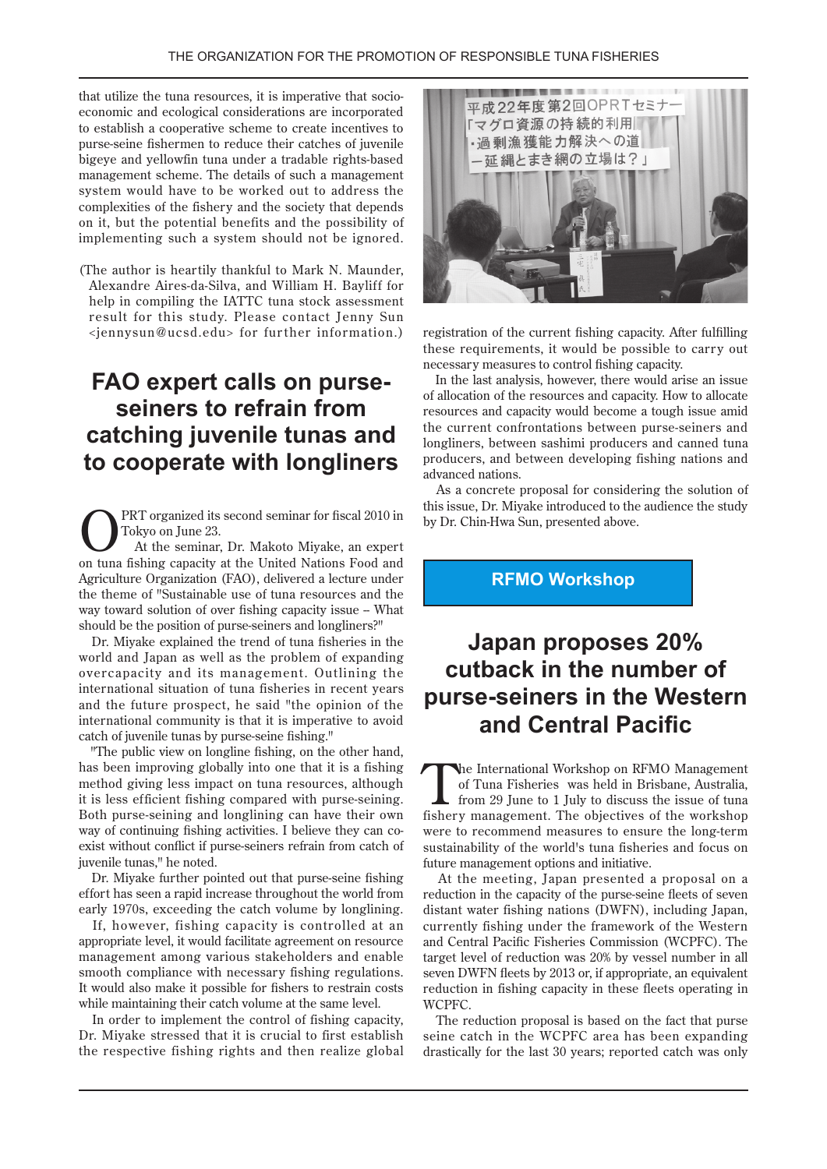economic and ecological considerations are incorporated that utilize the tuna resources, it is imperative that socioto establish a cooperative scheme to create incentives to purse-seine fishermen to reduce their catches of juvenile bigeye and yellowfin tuna under a tradable rights-based management scheme. The details of such a management system would have to be worked out to address the complexities of the fishery and the society that depends on it, but the potential benefits and the possibility of implementing such a system should not be ignored.

(The author is heartily thankful to Mark N. Maunder, Alexandre Aires-da-Silva, and William H. Bayliff for help in compiling the IATTC tuna stock assessment result for this study. Please contact Jenny Sun  $\epsilon$  iennysun@ucsd.edu> for further information.)

# **FAO** expert calls on purse-<br>seiners to refrain from **catching juvenile tunas and longliners** to cooperate with longliners

PRT organized its second seminar for fiscal 2010 in Tokyo on June 23. At the seminar, Dr. Makoto Miyake, an expert on tuna fishing capacity at the United Nations Food and Agriculture Organization (FAO), delivered a lecture under the theme of "Sustainable use of tuna resources and the way toward solution of over fishing capacity issue - What should be the position of purse-seiners and longliners?"

Dr. Miyake explained the trend of tuna fisheries in the world and Japan as well as the problem of expanding overcapacity and its management. Outlining the international situation of tuna fisheries in recent years and the future prospect, he said "the opinion of the international community is that it is imperative to avoid catch of juvenile tunas by purse-seine fishing."

"The public view on longline fishing, on the other hand, has been improving globally into one that it is a fishing method giving less impact on tuna resources, although it is less efficient fishing compared with purse-seining. Both purse-seining and longlining can have their own exist without conflict if purse-seiners refrain from catch of way of continuing fishing activities. I believe they can cojuvenile tunas," he noted.

Dr. Miyake further pointed out that purse-seine fishing effort has seen a rapid increase throughout the world from early 1970s, exceeding the catch volume by longlining.

If, however, fishing capacity is controlled at an appropriate level, it would facilitate agreement on resource management among various stakeholders and enable smooth compliance with necessary fishing regulations. It would also make it possible for fishers to restrain costs while maintaining their catch volume at the same level.

In order to implement the control of fishing capacity, Dr. Miyake stressed that it is crucial to first establish the respective fishing rights and then realize global



registration of the current fishing capacity. After fulfilling these requirements, it would be possible to carry out necessary measures to control fishing capacity.

In the last analysis, however, there would arise an issue of allocation of the resources and capacity. How to allocate resources and capacity would become a tough issue amid the current confrontations between purse-seiners and longliners, between sashimi producers and canned tuna producers, and between developing fishing nations and advanced nations.

As a concrete proposal for considering the solution of this issue, Dr. Miyake introduced to the audience the study by Dr. Chin-Hwa Sun, presented above.

**RFMO** Workshop

## **20% proposes Japan** cutback in the number of **purse-seiners in the Western and Central Pacific**

The International Workshop on RFMO Management<br>
of Tuna Fisheries was held in Brisbane, Australia,<br>
from 29 June to 1 July to discuss the issue of tuna<br>
fishery management. The objectives of the werkshop of Tuna Fisheries was held in Brisbane, Australia, fishery management. The objectives of the workshop were to recommend measures to ensure the long-term sustainability of the world's tuna fisheries and focus on future management options and initiative.

At the meeting, Japan presented a proposal on a reduction in the capacity of the purse-seine fleets of seven distant water fishing nations (DWFN), including Japan, currently fishing under the framework of the Western and Central Pacific Fisheries Commission (WCPFC). The target level of reduction was 20% by vessel number in all seven DWFN fleets by 2013 or, if appropriate, an equivalent reduction in fishing capacity in these fleets operating in .WCPFC

The reduction proposal is based on the fact that purse seine catch in the WCPFC area has been expanding drastically for the last 30 years; reported catch was only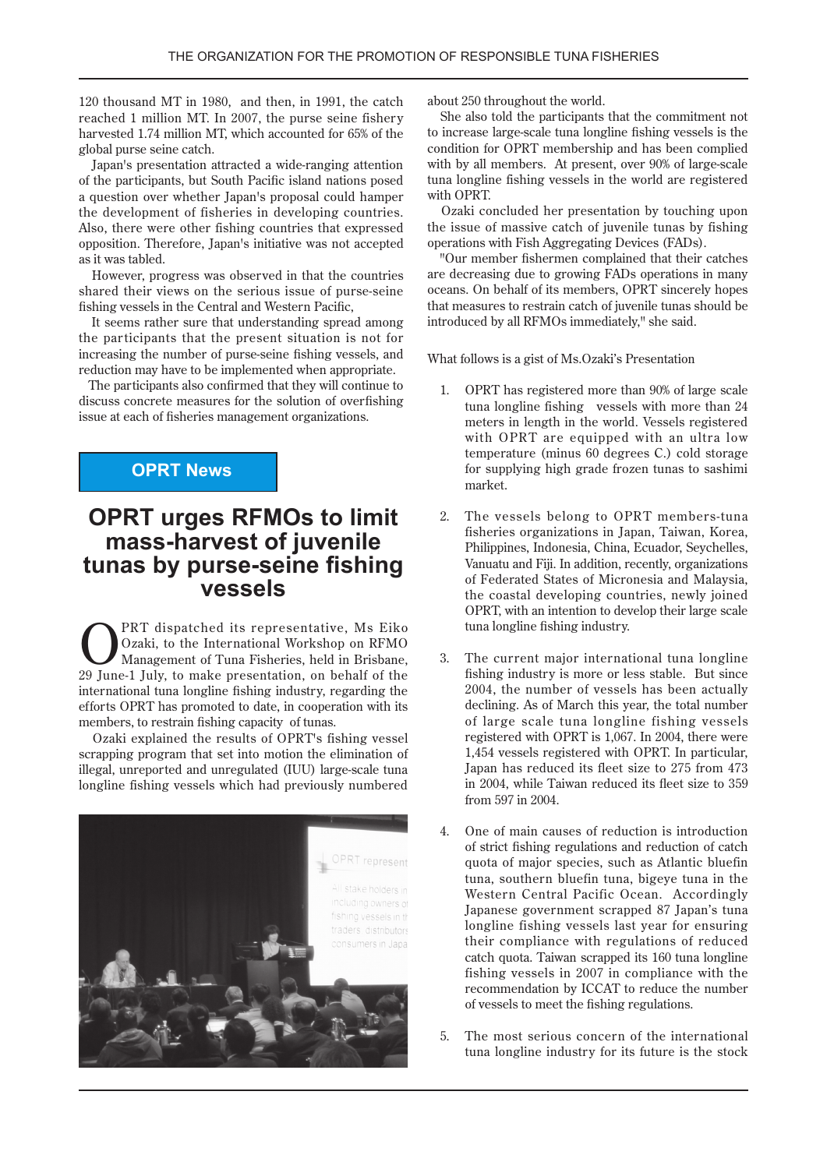120 thousand MT in 1980, and then, in 1991, the catch reached 1 million MT. In 2007, the purse seine fishery harvested 1.74 million MT, which accounted for 65% of the global purse seine catch.

Japan's presentation attracted a wide-ranging attention of the participants, but South Pacific island nations posed a question over whether Japan's proposal could hamper the development of fisheries in developing countries. Also, there were other fishing countries that expressed opposition. Therefore, Japan's initiative was not accepted as it was tabled.

However, progress was observed in that the countries shared their views on the serious issue of purse-seine fishing vessels in the Central and Western Pacific,

It seems rather sure that understanding spread among the participants that the present situation is not for increasing the number of purse-seine fishing vessels, and reduction may have to be implemented when appropriate.

The participants also confirmed that they will continue to discuss concrete measures for the solution of overfishing issue at each of fisheries management organizations.

#### **OPRT News**

### **OPRT urges RFMOs to limit** mass-harvest of juvenile **tunas by purse-seine fishing vessels**

**CERT** dispatched its representative, Ms Eiko Ozaki, to the International Workshop on RFMO<br>
Management of Tuna Fisheries, held in Brisbane,<br>
20 June 1 July to make presentation on behelf of the Ozaki, to the International Workshop on RFMO 29 June-1 July, to make presentation, on behalf of the international tuna longline fishing industry, regarding the efforts OPRT has promoted to date, in cooperation with its members, to restrain fishing capacity of tunas.

Ozaki explained the results of OPRT's fishing vessel scrapping program that set into motion the elimination of illegal, unreported and unregulated (IUU) large-scale tuna longline fishing vessels which had previously numbered



about 250 throughout the world.

She also told the participants that the commitment not to increase large-scale tuna longline fishing vessels is the condition for OPRT membership and has been complied with by all members. At present, over 90% of large-scale tuna longline fishing vessels in the world are registered with OPRT.

Ozaki concluded her presentation by touching upon the issue of massive catch of iuvenile tunas by fishing operations with Fish Aggregating Devices (FADs).

"Our member fishermen complained that their catches are decreasing due to growing FADs operations in many oceans. On behalf of its members, OPRT sincerely hopes that measures to restrain catch of juvenile tunas should be introduced by all RFMOs immediately," she said.

What follows is a gist of Ms.Ozaki's Presentation

- 1. OPRT has registered more than 90% of large scale tuna longline fishing vessels with more than 24 meters in length in the world. Vessels registered with OPRT are equipped with an ultra low temperature (minus 60 degrees C.) cold storage for supplying high grade frozen tunas to sashimi .market
- 2. The vessels belong to OPRT members-tuna fisheries organizations in Japan, Taiwan, Korea, Philippines, Indonesia, China, Ecuador, Seychelles, Vanuatu and Fiji. In addition, recently, organizations of Federated States of Micronesia and Malaysia, the coastal developing countries, newly joined OPRT, with an intention to develop their large scale tuna longline fishing industry.
- 3. The current major international tuna longline fishing industry is more or less stable. But since 2004, the number of vessels has been actually declining. As of March this year, the total number of large scale tuna longline fishing vessels registered with OPRT is  $1,067$ . In 2004, there were 1.454 vessels registered with OPRT. In particular, Japan has reduced its fleet size to 275 from 473 in 2004, while Taiwan reduced its fleet size to 359 from 597 in 2004.
- 4. One of main causes of reduction is introduction of strict fishing regulations and reduction of catch quota of major species, such as Atlantic bluefin tuna, southern bluefin tuna, bigeye tuna in the Western Central Pacific Ocean. Accordingly Japanese government scrapped 87 Japan's tuna longline fishing vessels last year for ensuring their compliance with regulations of reduced catch quota. Taiwan scrapped its 160 tuna longline fishing vessels in 2007 in compliance with the recommendation by ICCAT to reduce the number of vessels to meet the fishing regulations.
- 5. The most serious concern of the international tuna longline industry for its future is the stock